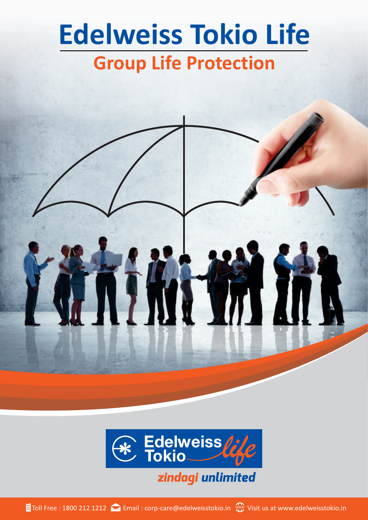# **Edelweiss Tokio Life Group Life Protection**





Toll Free: 1800 212 1212 Carnail: corp-care@edelweisstokio.in Web Visit us at www.edelweisstokio.in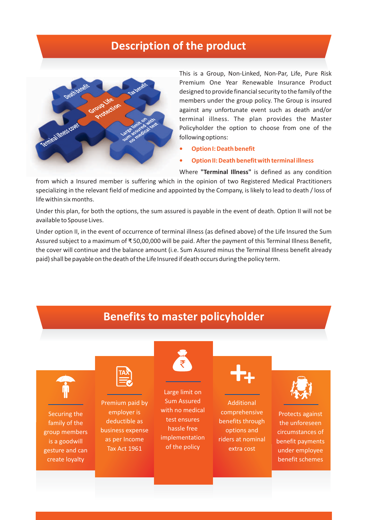### **Description of the product**



This is a Group, Non-Linked, Non-Par, Life, Pure Risk Premium One Year Renewable Insurance Product designed to provide financial security to the family of the members under the group policy. The Group is insured against any unfortunate event such as death and/or terminal illness. The plan provides the Master Policyholder the option to choose from one of the following options:

- **• Option I: Death benefit**
- **• Option II: Death benefit with terminal illness**

Where **"Terminal Illness"** is defined as any condition

from which a Insured member is suffering which in the opinion of two Registered Medical Practitioners specializing in the relevant field of medicine and appointed by the Company, is likely to lead to death / loss of life within six months.

Under this plan, for both the options, the sum assured is payable in the event of death. Option II will not be available to Spouse Lives.

Under option II, in the event of occurrence of terminal illness (as defined above) of the Life Insured the Sum Assured subject to a maximum of ₹ 50,00,000 will be paid. After the payment of this Terminal Illness Benefit, the cover will continue and the balance amount (i.e. Sum Assured minus the Terminal Illness benefit already paid) shall be payable on the death of the Life Insured if death occurs during the policy term.

### **Benefits to master policyholder**

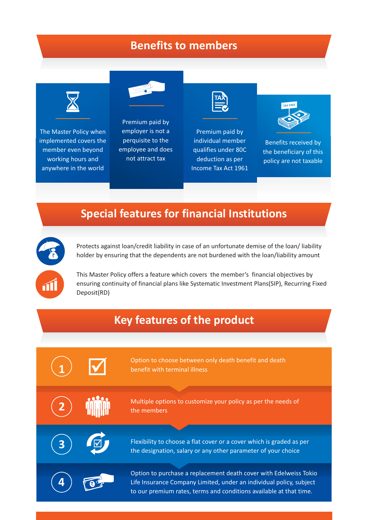### **Benefits to members**



The Master Policy when implemented covers the member even beyond working hours and anywhere in the world



Premium paid by employer is not a perquisite to the employee and does not attract tax



Premium paid by individual member qualifies under 80C deduction as per Income Tax Act 1961



Benefits received by the beneficiary of this policy are not taxable

### **Special features for financial Institutions**



Protects against loan/credit liability in case of an unfortunate demise of the loan/ liability holder by ensuring that the dependents are not burdened with the loan/liability amount

This Master Policy offers a feature which covers the member's financial objectives by ensuring continuity of financial plans like Systematic Investment Plans(SIP), Recurring Fixed Deposit(RD)

### **Key features of the product**

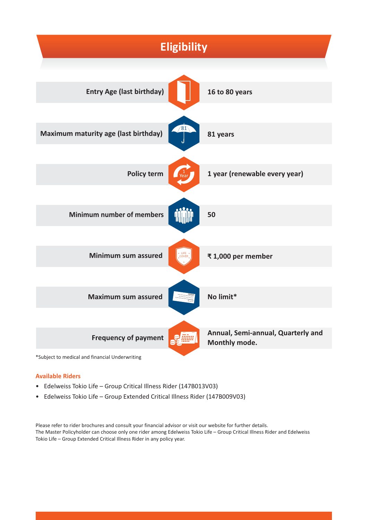

\*Subject to medical and financial Underwriting

#### **Available Riders**

- Edelweiss Tokio Life Group Critical Illness Rider (147B013V03)
- Edelweiss Tokio Life Group Extended Critical Illness Rider (147B009V03)

Please refer to rider brochures and consult your financial advisor or visit our website for further details. The Master Policyholder can choose only one rider among Edelweiss Tokio Life – Group Critical Illness Rider and Edelweiss Tokio Life – Group Extended Critical Illness Rider in any policy year.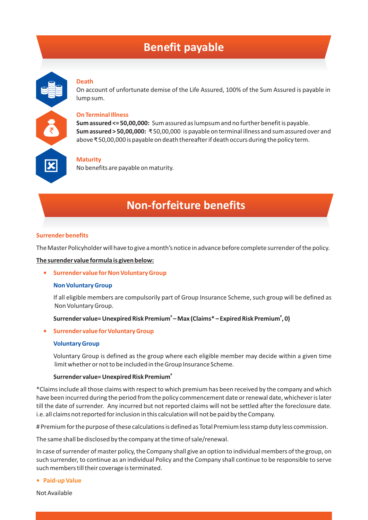### **Benefit payable**

#### **Death**

On account of unfortunate demise of the Life Assured, 100% of the Sum Assured is payable in lump sum.

#### **On Terminal Illness**

**Sum assured <= 50,00,000:** Sum assured as lumpsum and no further benefit is payable. **Sum assured > 50,00,000:** ₹ 50,00,000 is payable on terminal illness and sum assured over and above ₹ 50,00,000 is payable on death thereafter if death occurs during the policy term.

### **Maturity**

No benefits are payable on maturity.

### **Non-forfeiture benefits**

#### **Surrender benefits**

The Master Policyholder will have to give a month's notice in advance before complete surrender of the policy.

#### **The surender value formula is given below:**

#### **• Surrender value for Non Voluntary Group**

#### **Non Voluntary Group**

If all eligible members are compulsorily part of Group Insurance Scheme, such group will be defined as Non Voluntary Group.

#### **# # Surrender value= Unexpired Risk Premium – Max (Claims\* – Expired Risk Premium , 0)**

#### **• Surrender value for Voluntary Group**

#### **Voluntary Group**

Voluntary Group is defined as the group where each eligible member may decide within a given time limit whether or not to be included in the Group Insurance Scheme.

#### **# Surrender value= Unexpired Risk Premium**

\*Claims include all those claims with respect to which premium has been received by the company and which have been incurred during the period from the policy commencement date or renewal date, whichever is later till the date of surrender. Any incurred but not reported claims will not be settled after the foreclosure date. i.e. all claims not reported for inclusion in this calculation will not be paid by the Company.

# Premium for the purpose of these calculations is defined as Total Premium less stamp duty less commission.

The same shall be disclosed by the company at the time of sale/renewal.

In case of surrender of master policy, the Company shall give an option to individual members of the group, on such surrender, to continue as an individual Policy and the Company shall continue to be responsible to serve such members till their coverage is terminated.

**• Paid-up Value** 

Not Available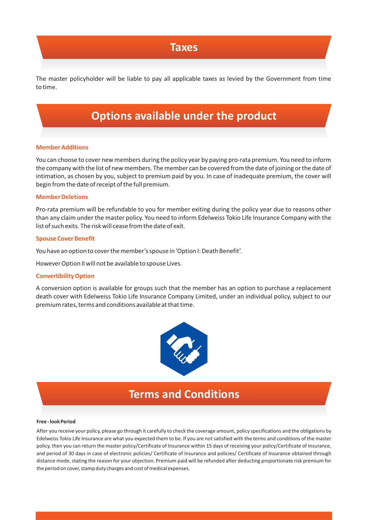### **Taxes**

The master policyholder will be liable to pay all applicable taxes as levied by the Government from time to time.

## **Options available under the product**

#### **Member Additions**

You can choose to cover new members during the policy year by paying pro-rata premium. You need to inform the company with the list of new members. The member can be covered from the date of joining or the date of intimation, as chosen by you, subject to premium paid by you. In case of inadequate premium, the cover will begin from the date of receipt of the full premium.

#### **Member Deletions**

Pro-rata premium will be refundable to you for member exiting during the policy year due to reasons other than any claim under the master policy. You need to inform Edelweiss Tokio Life Insurance Company with the list of such exits. The risk will cease from the date of exit.

#### **Spouse Cover Benefit**

You have an option to cover the member's spouse in 'Option I: Death Benefit'.

However Option II will not be available to spouse Lives.

#### **Convertibility Option**

A conversion option is available for groups such that the member has an option to purchase a replacement death cover with Edelweiss Tokio Life Insurance Company Limited, under an individual policy, subject to our premium rates, terms and conditions available at that time.



### **Terms and Conditions**

#### **Free - look Period**

After you receive your policy, please go through it carefully to check the coverage amount, policy specifications and the obligations by Edelweiss Tokio Life Insurance are what you expected them to be. If you are not satisfied with the terms and conditions of the master policy, then you can return the master policy/Certificate of Insurance within 15 days of receiving your policy/Certificate of Insurance, and period of 30 days in case of electronic policies/ Certificate of Insurance and policies/ Certificate of Insurance obtained through distance mode, stating the reason for your objection. Premium paid will be refunded after deducting proportionate risk premium for the period on cover, stamp duty charges and cost of medical expenses.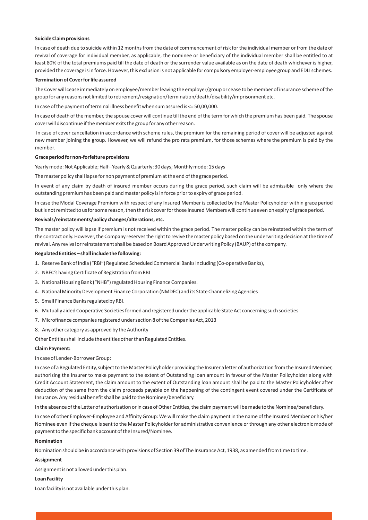#### **Suicide Claim provisions**

In case of death due to suicide within 12 months from the date of commencement of risk for the individual member or from the date of revival of coverage for individual member, as applicable, the nominee or beneficiary of the individual member shall be entitled to at least 80% of the total premiums paid till the date of death or the surrender value available as on the date of death whichever is higher, provided the coverage is in force. However, this exclusion is not applicable for compulsory employer-employee group and EDLI schemes.

#### **Termination of Cover for life assured**

The Cover will cease immediately on employee/member leaving the employer/group or cease to be member of insurance scheme of the group for any reasons not limited to retirement/resignation/termination/death/disability/imprisonment etc.

In case of the payment of terminal illness benefit when sum assured is <= 50,00,000.

In case of death of the member, the spouse cover will continue till the end of the term for which the premium has been paid. The spouse cover will discontinue if the member exits the group for any other reason.

In case of cover cancellation in accordance with scheme rules, the premium for the remaining period of cover will be adjusted against new member joining the group. However, we will refund the pro rata premium, for those schemes where the premium is paid by the member.

#### **Grace period for non-forfeiture provisions**

Yearly mode: Not Applicable; Half –Yearly & Quarterly: 30 days; Monthly mode: 15 days

The master policy shall lapse for non payment of premium at the end of the grace period.

In event of any claim by death of insured member occurs during the grace period, such claim will be admissible only where the outstanding premium has been paid and master policy is in force prior to expiry of grace period.

In case the Modal Coverage Premium with respect of any Insured Member is collected by the Master Policyholder within grace period but is not remitted to us for some reason, then the risk cover for those Insured Members will continue even on expiry of grace period.

#### **Revivals/reinstatements/policy changes/alterations, etc.**

The master policy will lapse if premium is not received within the grace period. The master policy can be reinstated within the term of the contract only. However, the Company reserves the right to revive the master policy based on the underwriting decision at the time of revival. Any revival or reinstatement shall be based on Board Approved Underwriting Policy (BAUP) of the company.

#### **Regulated Entities – shall include the following:**

- 1. Reserve Bank of India ("RBI") Regulated Scheduled Commercial Banks including (Co-operative Banks),
- 2. NBFC's having Certificate of Registration from RBI
- 3. National Housing Bank ("NHB") regulated Housing Finance Companies.
- 4. National Minority Development Finance Corporation (NMDFC) and its State Channelizing Agencies
- 5. Small Finance Banks regulated by RBI.
- 6. Mutually aided Cooperative Societies formed and registered under the applicable State Act concerning such societies
- 7. Microfinance companies registered under section 8 of the Companies Act, 2013
- 8. Any other category as approved by the Authority

Other Entities shall include the entities other than Regulated Entities.

#### **Claim Payment:**

#### In case of Lender-Borrower Group:

In case of a Regulated Entity, subject to the Master Policyholder providing the Insurer a letter of authorization from the Insured Member, authorizing the Insurer to make payment to the extent of Outstanding loan amount in favour of the Master Policyholder along with Credit Account Statement, the claim amount to the extent of Outstanding loan amount shall be paid to the Master Policyholder after deduction of the same from the claim proceeds payable on the happening of the contingent event covered under the Certificate of Insurance. Any residual benefit shall be paid to the Nominee/beneficiary.

In the absence of the Letter of authorization or in case of Other Entities, the claim payment will be made to the Nominee/beneficiary.

In case of other Employer-Employee and Affinity Group: We will make the claim payment in the name of the Insured Member or his/her Nominee even if the cheque is sent to the Master Policyholder for administrative convenience or through any other electronic mode of payment to the specific bank account of the Insured/Nominee.

#### **Nomination**

Nomination should be in accordance with provisions of Section 39 of The Insurance Act, 1938, as amended from time to time.

#### **Assignment**

Assignment is not allowed under this plan.

#### **Loan Facility**

Loan facility is not available under this plan.